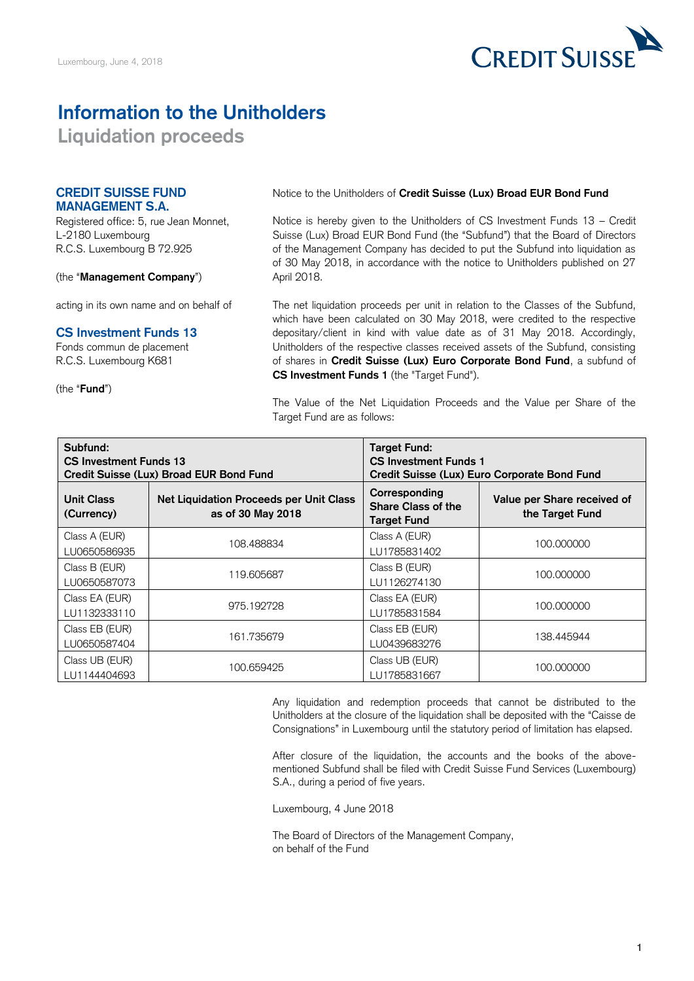

# **Information to the Unitholders**

**Liquidation proceeds**

# **CREDIT SUISSE FUND MANAGEMENT S.A.**

Registered office: 5, rue Jean Monnet, L-2180 Luxembourg R.C.S. Luxembourg B 72.925

(the "**Management Company**")

acting in its own name and on behalf of

# **CS Investment Funds 13**

Fonds commun de placement R.C.S. Luxembourg K681

(the "**Fund**")

Notice to the Unitholders of **Credit Suisse (Lux) Broad EUR Bond Fund**

Notice is hereby given to the Unitholders of CS Investment Funds 13 – Credit Suisse (Lux) Broad EUR Bond Fund (the "Subfund") that the Board of Directors of the Management Company has decided to put the Subfund into liquidation as of 30 May 2018, in accordance with the notice to Unitholders published on 27 April 2018.

The net liquidation proceeds per unit in relation to the Classes of the Subfund, which have been calculated on 30 May 2018, were credited to the respective depositary/client in kind with value date as of 31 May 2018. Accordingly, Unitholders of the respective classes received assets of the Subfund, consisting of shares in **Credit Suisse (Lux) Euro Corporate Bond Fund**, a subfund of **CS Investment Funds 1** (the "Target Fund").

The Value of the Net Liquidation Proceeds and the Value per Share of the Target Fund are as follows:

| Subfund:<br><b>CS Investment Funds 13</b><br>Credit Suisse (Lux) Broad EUR Bond Fund |                                                                     | <b>Target Fund:</b><br><b>CS Investment Funds 1</b><br>Credit Suisse (Lux) Euro Corporate Bond Fund |                                                |
|--------------------------------------------------------------------------------------|---------------------------------------------------------------------|-----------------------------------------------------------------------------------------------------|------------------------------------------------|
| <b>Unit Class</b><br>(Currency)                                                      | <b>Net Liquidation Proceeds per Unit Class</b><br>as of 30 May 2018 | Corresponding<br><b>Share Class of the</b><br><b>Target Fund</b>                                    | Value per Share received of<br>the Target Fund |
| Class A (EUR)<br>LU0650586935                                                        | 108.488834                                                          | Class A (EUR)<br>LU1785831402                                                                       | 100,000000                                     |
| Class B (EUR)<br>LU0650587073                                                        | 119,605687                                                          | Class B (EUR)<br>LU1126274130                                                                       | 100,000000                                     |
| Class EA (EUR)<br>LU1132333110                                                       | 975.192728                                                          | Class EA (EUR)<br>LU1785831584                                                                      | 100,000000                                     |
| Class EB (EUR)<br>LU0650587404                                                       | 161.735679                                                          | Class EB (EUR)<br>LU0439683276                                                                      | 138.445944                                     |
| Class UB (EUR)<br>LU1144404693                                                       | 100.659425                                                          | Class UB (EUR)<br>LU1785831667                                                                      | 100,000000                                     |

Any liquidation and redemption proceeds that cannot be distributed to the Unitholders at the closure of the liquidation shall be deposited with the "Caisse de Consignations" in Luxembourg until the statutory period of limitation has elapsed.

After closure of the liquidation, the accounts and the books of the abovementioned Subfund shall be filed with Credit Suisse Fund Services (Luxembourg) S.A., during a period of five years.

Luxembourg, 4 June 2018

The Board of Directors of the Management Company, on behalf of the Fund